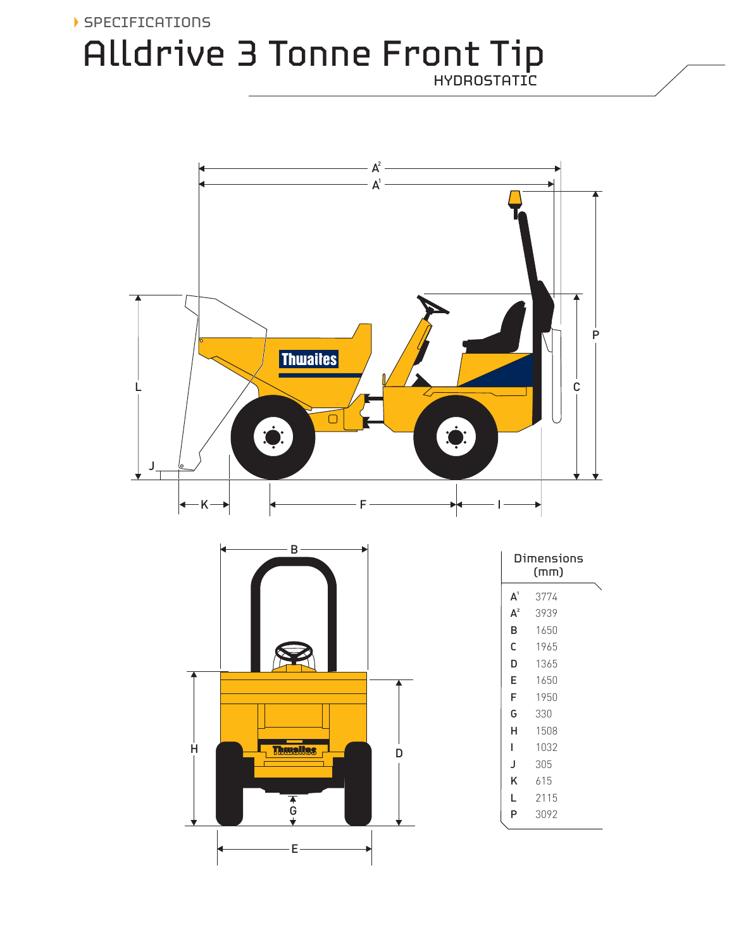# Alldrive 3 Tonne Front Tip SPECIFICATIONS HYDROSTATIC